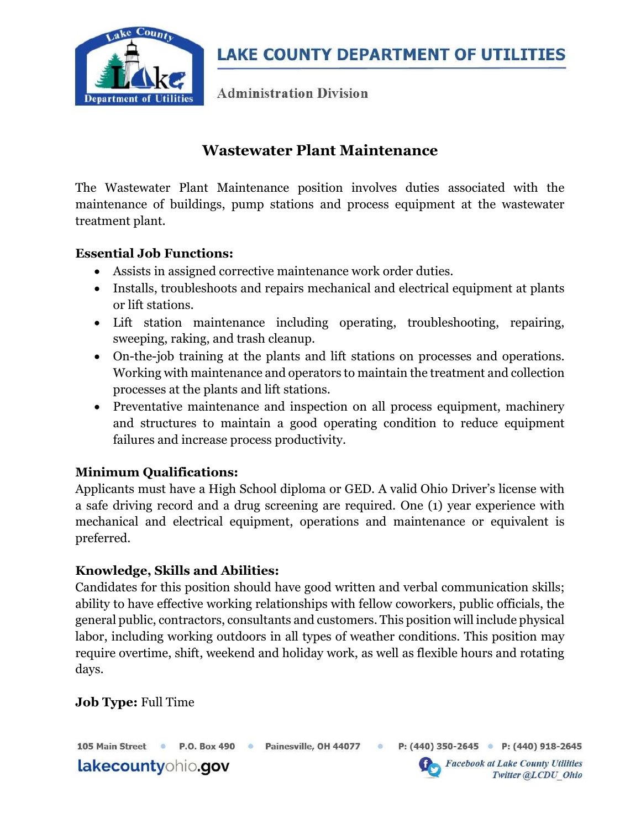

**LAKE COUNTY DEPARTMENT OF UTILITIES** 

**Administration Division** 

## Wastewater Plant Maintenance

The Wastewater Plant Maintenance position involves duties associated with the maintenance of buildings, pump stations and process equipment at the wastewater treatment plant.

### Essential Job Functions:

- Assists in assigned corrective maintenance work order duties.
- Installs, troubleshoots and repairs mechanical and electrical equipment at plants or lift stations.
- Lift station maintenance including operating, troubleshooting, repairing, sweeping, raking, and trash cleanup.
- On-the-job training at the plants and lift stations on processes and operations. Working with maintenance and operators to maintain the treatment and collection processes at the plants and lift stations.
- Preventative maintenance and inspection on all process equipment, machinery and structures to maintain a good operating condition to reduce equipment failures and increase process productivity.

### Minimum Qualifications:

Applicants must have a High School diploma or GED. A valid Ohio Driver's license with a safe driving record and a drug screening are required. One (1) year experience with mechanical and electrical equipment, operations and maintenance or equivalent is preferred.

### Knowledge, Skills and Abilities:

Candidates for this position should have good written and verbal communication skills; ability to have effective working relationships with fellow coworkers, public officials, the general public, contractors, consultants and customers. This position will include physical labor, including working outdoors in all types of weather conditions. This position may require overtime, shift, weekend and holiday work, as well as flexible hours and rotating days.

## Job Type: Full Time

105 Main Street <sup>O</sup>

P.O. Box 490 · Painesville, OH 44077 ·

lakecountyohio.gov

P: (440) 350-2645 • P: (440) 918-2645



**Facebook at Lake County Utilities** Twitter @LCDU Ohio